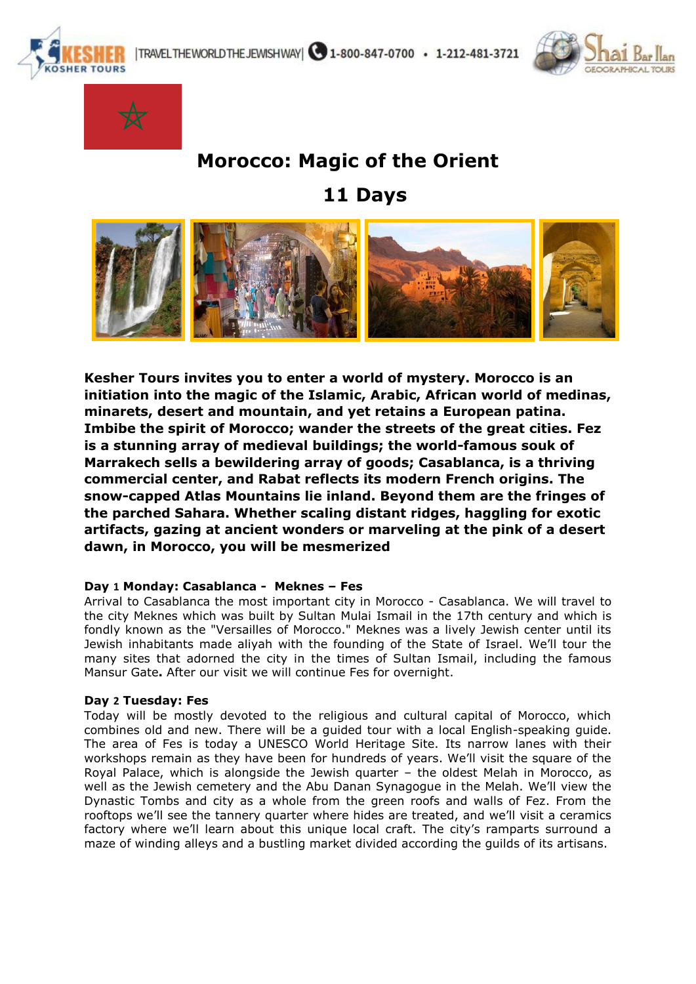





# **Morocco: Magic of the Orient**

 **11 Days** 



**Kesher Tours invites you to enter a world of mystery. Morocco is an initiation into the magic of the Islamic, Arabic, African world of medinas, minarets, desert and mountain, and yet retains a European patina. Imbibe the spirit of Morocco; wander the streets of the great cities. Fez is a stunning array of medieval buildings; the world-famous souk of Marrakech sells a bewildering array of goods; Casablanca, is a thriving commercial center, and Rabat reflects its modern French origins. The snow-capped Atlas Mountains lie inland. Beyond them are the fringes of the parched Sahara. Whether scaling distant ridges, haggling for exotic artifacts, gazing at ancient wonders or marveling at the pink of a desert dawn, in Morocco, you will be mesmerized**

# **Day 1 Monday: Casablanca - Meknes – Fes**

Arrival to Casablanca the most important city in Morocco - Casablanca. We will travel to the city Meknes which was built by Sultan Mulai Ismail in the 17th century and which is fondly known as the "Versailles of Morocco." Meknes was a lively Jewish center until its Jewish inhabitants made aliyah with the founding of the State of Israel. We'll tour the many sites that adorned the city in the times of Sultan Ismail, including the famous Mansur Gate**.** After our visit we will continue Fes for overnight.

# **Day 2 Tuesday: Fes**

Today will be mostly devoted to the religious and cultural capital of Morocco, which combines old and new. There will be a guided tour with a local English-speaking guide. The area of Fes is today a UNESCO World Heritage Site. Its narrow lanes with their workshops remain as they have been for hundreds of years. We'll visit the square of the Royal Palace, which is alongside the Jewish quarter – the oldest Melah in Morocco, as well as the Jewish cemetery and the Abu Danan Synagogue in the Melah. We'll view the Dynastic Tombs and city as a whole from the green roofs and walls of Fez. From the rooftops we'll see the tannery quarter where hides are treated, and we'll visit a ceramics factory where we'll learn about this unique local craft. The city's ramparts surround a maze of winding alleys and a bustling market divided according the guilds of its artisans.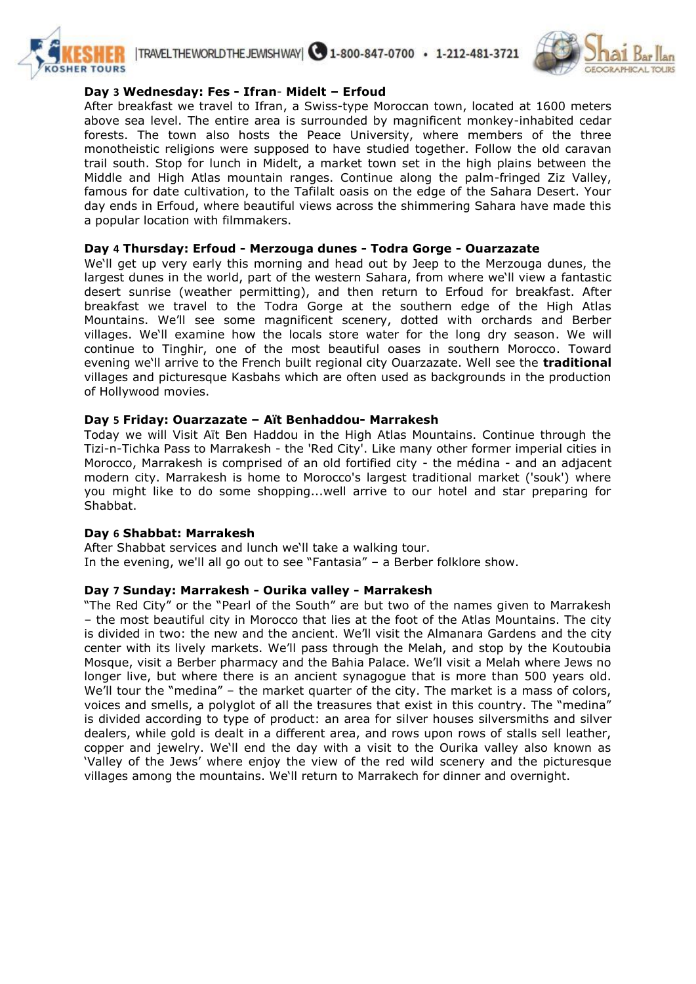



# **Day 3 Wednesday: Fes - Ifran**- **Midelt – Erfoud**

After breakfast we travel to Ifran, a Swiss-type Moroccan town, located at 1600 meters above sea level. The entire area is surrounded by magnificent monkey-inhabited cedar forests. The town also hosts the Peace University, where members of the three monotheistic religions were supposed to have studied together. Follow the old caravan trail south. Stop for lunch in Midelt, a market town set in the high plains between the Middle and High Atlas mountain ranges. Continue along the palm-fringed Ziz Valley, famous for date cultivation, to the Tafilalt oasis on the edge of the Sahara Desert. Your day ends in Erfoud, where beautiful views across the shimmering Sahara have made this a popular location with filmmakers.

# **Day 4 Thursday: Erfoud - Merzouga dunes - Todra Gorge - Ouarzazate**

We'll get up very early this morning and head out by Jeep to the Merzouga dunes, the largest dunes in the world, part of the western Sahara, from where we'll view a fantastic desert sunrise (weather permitting), and then return to Erfoud for breakfast. After breakfast we travel to the Todra Gorge at the southern edge of the High Atlas Mountains. We'll see some magnificent scenery, dotted with orchards and Berber villages. We'll examine how the locals store water for the long dry season. We will continue to Tinghir, one of the most beautiful oases in southern Morocco. Toward evening we'll arrive to the French built regional city Ouarzazate. Well see the **traditional** villages and picturesque Kasbahs which are often used as backgrounds in the production of Hollywood movies.

# **Day 5 Friday: Ouarzazate – Aït Benhaddou- Marrakesh**

Today we will Visit Aït Ben Haddou in the High Atlas Mountains. Continue through the Tizi-n-Tichka Pass to Marrakesh - the 'Red City'. Like many other former imperial cities in Morocco, Marrakesh is comprised of an old fortified city - the médina - and an adjacent modern city. Marrakesh is home to Morocco's largest traditional market ('souk') where you might like to do some shopping...well arrive to our hotel and star preparing for Shabbat.

#### **Day 6 Shabbat: Marrakesh**

After Shabbat services and lunch we'll take a walking tour. In the evening, we'll all go out to see "Fantasia" – a Berber folklore show.

#### **Day 7 Sunday: Marrakesh - Ourika valley - Marrakesh**

"The Red City" or the "Pearl of the South" are but two of the names given to Marrakesh – the most beautiful city in Morocco that lies at the foot of the Atlas Mountains. The city is divided in two: the new and the ancient. We'll visit the Almanara Gardens and the city center with its lively markets. We'll pass through the Melah, and stop by the Koutoubia Mosque, visit a Berber pharmacy and the Bahia Palace. We'll visit a Melah where Jews no longer live, but where there is an ancient synagogue that is more than 500 years old. We'll tour the "medina" – the market quarter of the city. The market is a mass of colors, voices and smells, a polyglot of all the treasures that exist in this country. The "medina" is divided according to type of product: an area for silver houses silversmiths and silver dealers, while gold is dealt in a different area, and rows upon rows of stalls sell leather, copper and jewelry. We'll end the day with a visit to the Ourika valley also known as 'Valley of the Jews' where enjoy the view of the red wild scenery and the picturesque villages among the mountains. We'll return to Marrakech for dinner and overnight.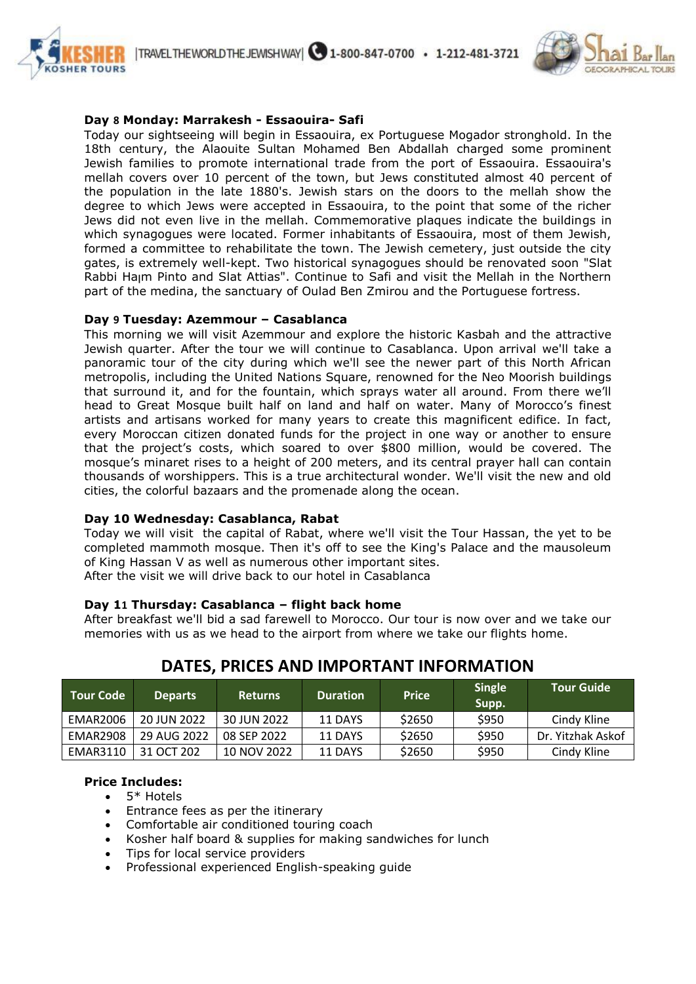

# **Day 8 Monday: Marrakesh - Essaouira- Safi**

Today our sightseeing will begin in Essaouira, ex Portuguese Mogador stronghold. In the 18th century, the Alaouite Sultan Mohamed Ben Abdallah charged some prominent Jewish families to promote international trade from the port of Essaouira. Essaouira's mellah covers over 10 percent of the town, but Jews constituted almost 40 percent of the population in the late 1880's. Jewish stars on the doors to the mellah show the degree to which Jews were accepted in Essaouira, to the point that some of the richer Jews did not even live in the mellah. Commemorative plaques indicate the buildings in which synagogues were located. Former inhabitants of Essaouira, most of them Jewish, formed a committee to rehabilitate the town. The Jewish cemetery, just outside the city gates, is extremely well-kept. Two historical synagogues should be renovated soon "Slat Rabbi Haןm Pinto and Slat Attias". Continue to Safi and visit the Mellah in the Northern part of the medina, the sanctuary of Oulad Ben Zmirou and the Portuguese fortress.

#### **Day 9 Tuesday: Azemmour – Casablanca**

This morning we will visit Azemmour and explore the historic Kasbah and the attractive Jewish quarter. After the tour we will continue to Casablanca. Upon arrival we'll take a panoramic tour of the city during which we'll see the newer part of this North African metropolis, including the United Nations Square, renowned for the Neo Moorish buildings that surround it, and for the fountain, which sprays water all around. From there we'll head to Great Mosque built half on land and half on water. Many of Morocco's finest artists and artisans worked for many years to create this magnificent edifice. In fact, every Moroccan citizen donated funds for the project in one way or another to ensure that the project's costs, which soared to over \$800 million, would be covered. The mosque's minaret rises to a height of 200 meters, and its central prayer hall can contain thousands of worshippers. This is a true architectural wonder. We'll visit the new and old cities, the colorful bazaars and the promenade along the ocean.

#### **Day 10 Wednesday: Casablanca, Rabat**

Today we will visit the capital of Rabat, where we'll visit the Tour Hassan, the yet to be completed mammoth mosque. Then it's off to see the King's Palace and the mausoleum of King Hassan V as well as numerous other important sites. After the visit we will drive back to our hotel in Casablanca

#### **Day 11 Thursday: Casablanca – flight back home**

After breakfast we'll bid a sad farewell to Morocco. Our tour is now over and we take our memories with us as we head to the airport from where we take our flights home.

| <b>Tour Code</b> | <b>Departs</b> | Returns     | <b>Duration</b> | <b>Price</b> | <b>Single</b><br>Supp. | Tour Guide        |
|------------------|----------------|-------------|-----------------|--------------|------------------------|-------------------|
| EMAR2006         | 20 JUN 2022    | 30 JUN 2022 | 11 DAYS         | \$2650       | \$950                  | Cindy Kline       |
| EMAR2908         | 29 AUG 2022    | 08 SEP 2022 | 11 DAYS         | \$2650       | \$950                  | Dr. Yitzhak Askof |
| EMAR3110         | 31 OCT 202     | 10 NOV 2022 | 11 DAYS         | \$2650       | \$950                  | Cindy Kline       |

# **DATES, PRICES AND IMPORTANT INFORMATION**

#### **Price Includes:**

- $\bullet$  5<sup>\*</sup> Hotels
- Entrance fees as per the itinerary
- Comfortable air conditioned touring coach
- Kosher half board & supplies for making sandwiches for lunch
- Tips for local service providers
- Professional experienced English-speaking guide